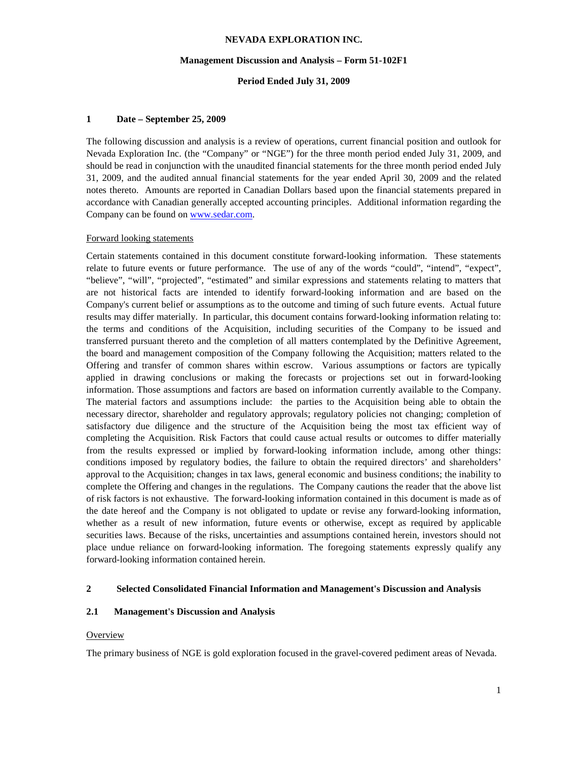#### **Management Discussion and Analysis – Form 51-102F1**

### **Period Ended July 31, 2009**

### **1 Date – September 25, 2009**

The following discussion and analysis is a review of operations, current financial position and outlook for Nevada Exploration Inc. (the "Company" or "NGE") for the three month period ended July 31, 2009, and should be read in conjunction with the unaudited financial statements for the three month period ended July 31, 2009, and the audited annual financial statements for the year ended April 30, 2009 and the related notes thereto. Amounts are reported in Canadian Dollars based upon the financial statements prepared in accordance with Canadian generally accepted accounting principles. Additional information regarding the Company can be found on www.sedar.com.

### Forward looking statements

Certain statements contained in this document constitute forward-looking information. These statements relate to future events or future performance. The use of any of the words "could", "intend", "expect", "believe", "will", "projected", "estimated" and similar expressions and statements relating to matters that are not historical facts are intended to identify forward-looking information and are based on the Company's current belief or assumptions as to the outcome and timing of such future events. Actual future results may differ materially. In particular, this document contains forward-looking information relating to: the terms and conditions of the Acquisition, including securities of the Company to be issued and transferred pursuant thereto and the completion of all matters contemplated by the Definitive Agreement, the board and management composition of the Company following the Acquisition; matters related to the Offering and transfer of common shares within escrow. Various assumptions or factors are typically applied in drawing conclusions or making the forecasts or projections set out in forward-looking information. Those assumptions and factors are based on information currently available to the Company. The material factors and assumptions include: the parties to the Acquisition being able to obtain the necessary director, shareholder and regulatory approvals; regulatory policies not changing; completion of satisfactory due diligence and the structure of the Acquisition being the most tax efficient way of completing the Acquisition. Risk Factors that could cause actual results or outcomes to differ materially from the results expressed or implied by forward-looking information include, among other things: conditions imposed by regulatory bodies, the failure to obtain the required directors' and shareholders' approval to the Acquisition; changes in tax laws, general economic and business conditions; the inability to complete the Offering and changes in the regulations. The Company cautions the reader that the above list of risk factors is not exhaustive. The forward-looking information contained in this document is made as of the date hereof and the Company is not obligated to update or revise any forward-looking information, whether as a result of new information, future events or otherwise, except as required by applicable securities laws. Because of the risks, uncertainties and assumptions contained herein, investors should not place undue reliance on forward-looking information. The foregoing statements expressly qualify any forward-looking information contained herein.

## **2 Selected Consolidated Financial Information and Management's Discussion and Analysis**

# **2.1 Management's Discussion and Analysis**

#### Overview

The primary business of NGE is gold exploration focused in the gravel-covered pediment areas of Nevada.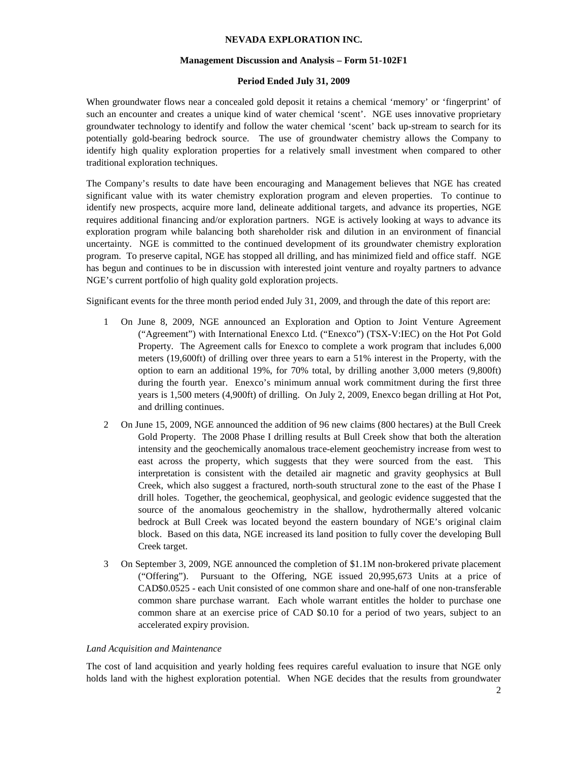## **Management Discussion and Analysis – Form 51-102F1**

# **Period Ended July 31, 2009**

When groundwater flows near a concealed gold deposit it retains a chemical 'memory' or 'fingerprint' of such an encounter and creates a unique kind of water chemical 'scent'. NGE uses innovative proprietary groundwater technology to identify and follow the water chemical 'scent' back up-stream to search for its potentially gold-bearing bedrock source. The use of groundwater chemistry allows the Company to identify high quality exploration properties for a relatively small investment when compared to other traditional exploration techniques.

The Company's results to date have been encouraging and Management believes that NGE has created significant value with its water chemistry exploration program and eleven properties. To continue to identify new prospects, acquire more land, delineate additional targets, and advance its properties, NGE requires additional financing and/or exploration partners. NGE is actively looking at ways to advance its exploration program while balancing both shareholder risk and dilution in an environment of financial uncertainty. NGE is committed to the continued development of its groundwater chemistry exploration program. To preserve capital, NGE has stopped all drilling, and has minimized field and office staff. NGE has begun and continues to be in discussion with interested joint venture and royalty partners to advance NGE's current portfolio of high quality gold exploration projects.

Significant events for the three month period ended July 31, 2009, and through the date of this report are:

- 1 On June 8, 2009, NGE announced an Exploration and Option to Joint Venture Agreement ("Agreement") with International Enexco Ltd. ("Enexco") (TSX-V:IEC) on the Hot Pot Gold Property. The Agreement calls for Enexco to complete a work program that includes 6,000 meters (19,600ft) of drilling over three years to earn a 51% interest in the Property, with the option to earn an additional 19%, for 70% total, by drilling another 3,000 meters (9,800ft) during the fourth year. Enexco's minimum annual work commitment during the first three years is 1,500 meters (4,900ft) of drilling. On July 2, 2009, Enexco began drilling at Hot Pot, and drilling continues.
- 2 On June 15, 2009, NGE announced the addition of 96 new claims (800 hectares) at the Bull Creek Gold Property. The 2008 Phase I drilling results at Bull Creek show that both the alteration intensity and the geochemically anomalous trace-element geochemistry increase from west to east across the property, which suggests that they were sourced from the east. This interpretation is consistent with the detailed air magnetic and gravity geophysics at Bull Creek, which also suggest a fractured, north-south structural zone to the east of the Phase I drill holes. Together, the geochemical, geophysical, and geologic evidence suggested that the source of the anomalous geochemistry in the shallow, hydrothermally altered volcanic bedrock at Bull Creek was located beyond the eastern boundary of NGE's original claim block. Based on this data, NGE increased its land position to fully cover the developing Bull Creek target.
- 3 On September 3, 2009, NGE announced the completion of \$1.1M non-brokered private placement ("Offering"). Pursuant to the Offering, NGE issued 20,995,673 Units at a price of CAD\$0.0525 - each Unit consisted of one common share and one-half of one non-transferable common share purchase warrant. Each whole warrant entitles the holder to purchase one common share at an exercise price of CAD \$0.10 for a period of two years, subject to an accelerated expiry provision.

## *Land Acquisition and Maintenance*

The cost of land acquisition and yearly holding fees requires careful evaluation to insure that NGE only holds land with the highest exploration potential. When NGE decides that the results from groundwater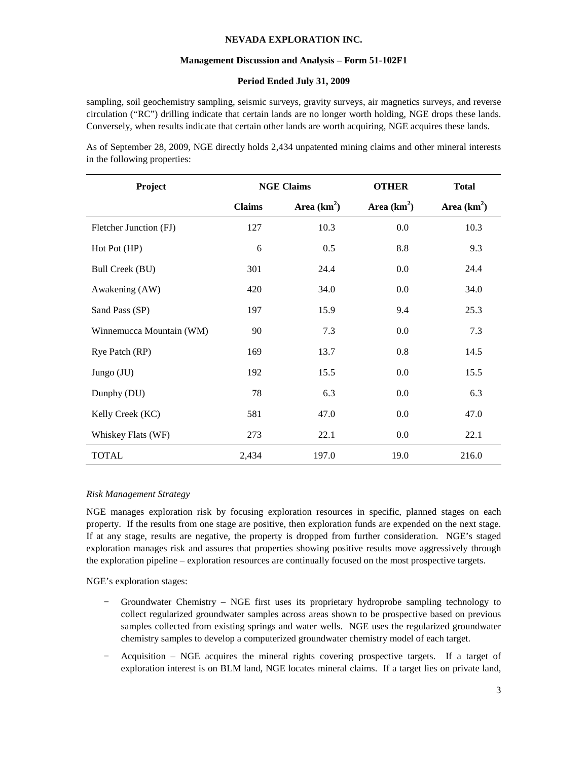## **Management Discussion and Analysis – Form 51-102F1**

## **Period Ended July 31, 2009**

sampling, soil geochemistry sampling, seismic surveys, gravity surveys, air magnetics surveys, and reverse circulation ("RC") drilling indicate that certain lands are no longer worth holding, NGE drops these lands. Conversely, when results indicate that certain other lands are worth acquiring, NGE acquires these lands.

As of September 28, 2009, NGE directly holds 2,434 unpatented mining claims and other mineral interests in the following properties:

| Project                  | <b>NGE Claims</b> |               | <b>OTHER</b>  | <b>Total</b>  |
|--------------------------|-------------------|---------------|---------------|---------------|
|                          | <b>Claims</b>     | Area $(km^2)$ | Area $(km^2)$ | Area $(km^2)$ |
| Fletcher Junction (FJ)   | 127               | 10.3          | 0.0           | 10.3          |
| Hot Pot (HP)             | 6                 | 0.5           | 8.8           | 9.3           |
| Bull Creek (BU)          | 301               | 24.4          | $0.0\,$       | 24.4          |
| Awakening (AW)           | 420               | 34.0          | $0.0\,$       | 34.0          |
| Sand Pass (SP)           | 197               | 15.9          | 9.4           | 25.3          |
| Winnemucca Mountain (WM) | 90                | 7.3           | 0.0           | 7.3           |
| Rye Patch (RP)           | 169               | 13.7          | 0.8           | 14.5          |
| Jungo (JU)               | 192               | 15.5          | $0.0\,$       | 15.5          |
| Dunphy (DU)              | 78                | 6.3           | $0.0\,$       | 6.3           |
| Kelly Creek (KC)         | 581               | 47.0          | 0.0           | 47.0          |
| Whiskey Flats (WF)       | 273               | 22.1          | 0.0           | 22.1          |
| <b>TOTAL</b>             | 2,434             | 197.0         | 19.0          | 216.0         |

## *Risk Management Strategy*

NGE manages exploration risk by focusing exploration resources in specific, planned stages on each property. If the results from one stage are positive, then exploration funds are expended on the next stage. If at any stage, results are negative, the property is dropped from further consideration. NGE's staged exploration manages risk and assures that properties showing positive results move aggressively through the exploration pipeline – exploration resources are continually focused on the most prospective targets.

NGE's exploration stages:

- − Groundwater Chemistry NGE first uses its proprietary hydroprobe sampling technology to collect regularized groundwater samples across areas shown to be prospective based on previous samples collected from existing springs and water wells. NGE uses the regularized groundwater chemistry samples to develop a computerized groundwater chemistry model of each target.
- − Acquisition NGE acquires the mineral rights covering prospective targets. If a target of exploration interest is on BLM land, NGE locates mineral claims. If a target lies on private land,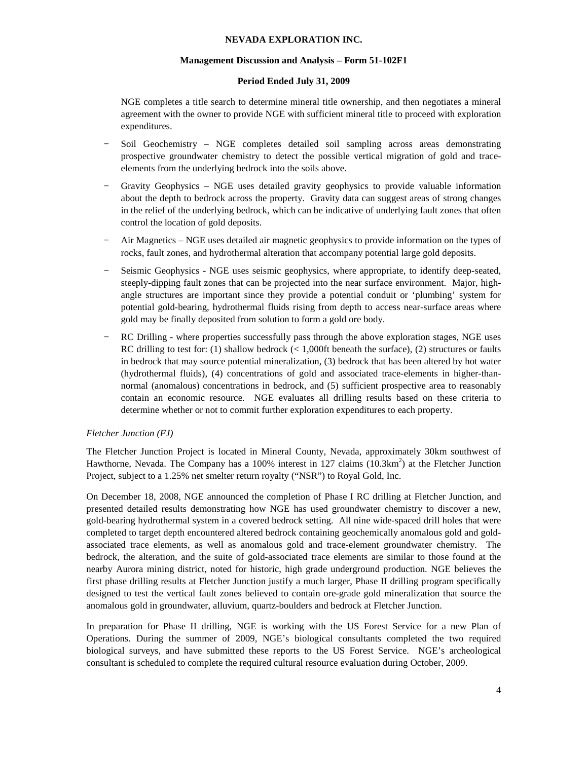## **Management Discussion and Analysis – Form 51-102F1**

# **Period Ended July 31, 2009**

NGE completes a title search to determine mineral title ownership, and then negotiates a mineral agreement with the owner to provide NGE with sufficient mineral title to proceed with exploration expenditures.

- − Soil Geochemistry NGE completes detailed soil sampling across areas demonstrating prospective groundwater chemistry to detect the possible vertical migration of gold and traceelements from the underlying bedrock into the soils above.
- − Gravity Geophysics NGE uses detailed gravity geophysics to provide valuable information about the depth to bedrock across the property. Gravity data can suggest areas of strong changes in the relief of the underlying bedrock, which can be indicative of underlying fault zones that often control the location of gold deposits.
- − Air Magnetics NGE uses detailed air magnetic geophysics to provide information on the types of rocks, fault zones, and hydrothermal alteration that accompany potential large gold deposits.
- Seismic Geophysics NGE uses seismic geophysics, where appropriate, to identify deep-seated, steeply-dipping fault zones that can be projected into the near surface environment. Major, highangle structures are important since they provide a potential conduit or 'plumbing' system for potential gold-bearing, hydrothermal fluids rising from depth to access near-surface areas where gold may be finally deposited from solution to form a gold ore body.
- RC Drilling where properties successfully pass through the above exploration stages, NGE uses RC drilling to test for: (1) shallow bedrock  $(< 1,000$ ft beneath the surface), (2) structures or faults in bedrock that may source potential mineralization, (3) bedrock that has been altered by hot water (hydrothermal fluids), (4) concentrations of gold and associated trace-elements in higher-thannormal (anomalous) concentrations in bedrock, and (5) sufficient prospective area to reasonably contain an economic resource. NGE evaluates all drilling results based on these criteria to determine whether or not to commit further exploration expenditures to each property.

# *Fletcher Junction (FJ)*

The Fletcher Junction Project is located in Mineral County, Nevada, approximately 30km southwest of Hawthorne, Nevada. The Company has a 100% interest in 127 claims  $(10.3 \text{km}^2)$  at the Fletcher Junction Project, subject to a 1.25% net smelter return royalty ("NSR") to Royal Gold, Inc.

On December 18, 2008, NGE announced the completion of Phase I RC drilling at Fletcher Junction, and presented detailed results demonstrating how NGE has used groundwater chemistry to discover a new, gold-bearing hydrothermal system in a covered bedrock setting. All nine wide-spaced drill holes that were completed to target depth encountered altered bedrock containing geochemically anomalous gold and goldassociated trace elements, as well as anomalous gold and trace-element groundwater chemistry. The bedrock, the alteration, and the suite of gold-associated trace elements are similar to those found at the nearby Aurora mining district, noted for historic, high grade underground production. NGE believes the first phase drilling results at Fletcher Junction justify a much larger, Phase II drilling program specifically designed to test the vertical fault zones believed to contain ore-grade gold mineralization that source the anomalous gold in groundwater, alluvium, quartz-boulders and bedrock at Fletcher Junction.

In preparation for Phase II drilling, NGE is working with the US Forest Service for a new Plan of Operations. During the summer of 2009, NGE's biological consultants completed the two required biological surveys, and have submitted these reports to the US Forest Service. NGE's archeological consultant is scheduled to complete the required cultural resource evaluation during October, 2009.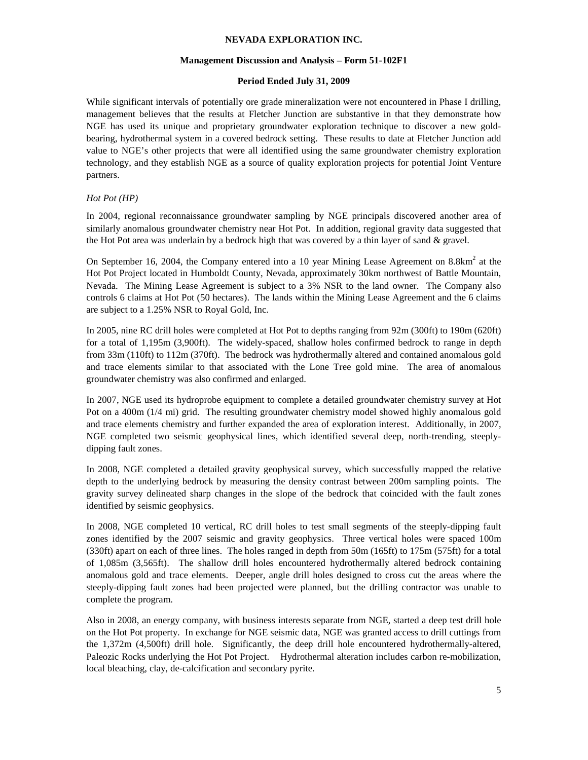## **Management Discussion and Analysis – Form 51-102F1**

# **Period Ended July 31, 2009**

While significant intervals of potentially ore grade mineralization were not encountered in Phase I drilling, management believes that the results at Fletcher Junction are substantive in that they demonstrate how NGE has used its unique and proprietary groundwater exploration technique to discover a new goldbearing, hydrothermal system in a covered bedrock setting. These results to date at Fletcher Junction add value to NGE's other projects that were all identified using the same groundwater chemistry exploration technology, and they establish NGE as a source of quality exploration projects for potential Joint Venture partners.

# *Hot Pot (HP)*

In 2004, regional reconnaissance groundwater sampling by NGE principals discovered another area of similarly anomalous groundwater chemistry near Hot Pot. In addition, regional gravity data suggested that the Hot Pot area was underlain by a bedrock high that was covered by a thin layer of sand  $\&$  gravel.

On September 16, 2004, the Company entered into a 10 year Mining Lease Agreement on  $8.8 \text{km}^2$  at the Hot Pot Project located in Humboldt County, Nevada, approximately 30km northwest of Battle Mountain, Nevada. The Mining Lease Agreement is subject to a 3% NSR to the land owner. The Company also controls 6 claims at Hot Pot (50 hectares). The lands within the Mining Lease Agreement and the 6 claims are subject to a 1.25% NSR to Royal Gold, Inc.

In 2005, nine RC drill holes were completed at Hot Pot to depths ranging from 92m (300ft) to 190m (620ft) for a total of 1,195m (3,900ft). The widely-spaced, shallow holes confirmed bedrock to range in depth from 33m (110ft) to 112m (370ft). The bedrock was hydrothermally altered and contained anomalous gold and trace elements similar to that associated with the Lone Tree gold mine. The area of anomalous groundwater chemistry was also confirmed and enlarged.

In 2007, NGE used its hydroprobe equipment to complete a detailed groundwater chemistry survey at Hot Pot on a 400m (1/4 mi) grid. The resulting groundwater chemistry model showed highly anomalous gold and trace elements chemistry and further expanded the area of exploration interest. Additionally, in 2007, NGE completed two seismic geophysical lines, which identified several deep, north-trending, steeplydipping fault zones.

In 2008, NGE completed a detailed gravity geophysical survey, which successfully mapped the relative depth to the underlying bedrock by measuring the density contrast between 200m sampling points. The gravity survey delineated sharp changes in the slope of the bedrock that coincided with the fault zones identified by seismic geophysics.

In 2008, NGE completed 10 vertical, RC drill holes to test small segments of the steeply-dipping fault zones identified by the 2007 seismic and gravity geophysics. Three vertical holes were spaced 100m (330ft) apart on each of three lines. The holes ranged in depth from 50m (165ft) to 175m (575ft) for a total of 1,085m (3,565ft). The shallow drill holes encountered hydrothermally altered bedrock containing anomalous gold and trace elements. Deeper, angle drill holes designed to cross cut the areas where the steeply-dipping fault zones had been projected were planned, but the drilling contractor was unable to complete the program.

Also in 2008, an energy company, with business interests separate from NGE, started a deep test drill hole on the Hot Pot property. In exchange for NGE seismic data, NGE was granted access to drill cuttings from the 1,372m (4,500ft) drill hole. Significantly, the deep drill hole encountered hydrothermally-altered, Paleozic Rocks underlying the Hot Pot Project. Hydrothermal alteration includes carbon re-mobilization, local bleaching, clay, de-calcification and secondary pyrite.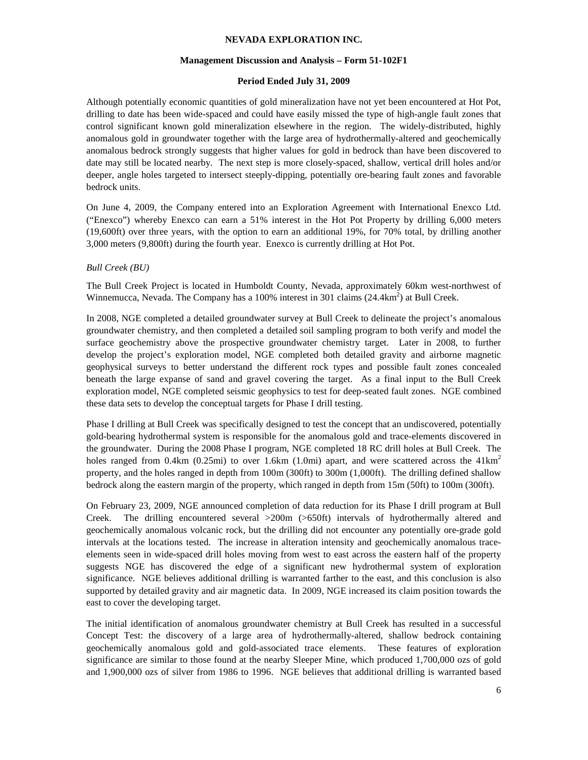## **Management Discussion and Analysis – Form 51-102F1**

## **Period Ended July 31, 2009**

Although potentially economic quantities of gold mineralization have not yet been encountered at Hot Pot, drilling to date has been wide-spaced and could have easily missed the type of high-angle fault zones that control significant known gold mineralization elsewhere in the region. The widely-distributed, highly anomalous gold in groundwater together with the large area of hydrothermally-altered and geochemically anomalous bedrock strongly suggests that higher values for gold in bedrock than have been discovered to date may still be located nearby. The next step is more closely-spaced, shallow, vertical drill holes and/or deeper, angle holes targeted to intersect steeply-dipping, potentially ore-bearing fault zones and favorable bedrock units.

On June 4, 2009, the Company entered into an Exploration Agreement with International Enexco Ltd. ("Enexco") whereby Enexco can earn a 51% interest in the Hot Pot Property by drilling 6,000 meters (19,600ft) over three years, with the option to earn an additional 19%, for 70% total, by drilling another 3,000 meters (9,800ft) during the fourth year. Enexco is currently drilling at Hot Pot.

## *Bull Creek (BU)*

The Bull Creek Project is located in Humboldt County, Nevada, approximately 60km west-northwest of Winnemucca, Nevada. The Company has a 100% interest in 301 claims  $(24.4 \text{km}^2)$  at Bull Creek.

In 2008, NGE completed a detailed groundwater survey at Bull Creek to delineate the project's anomalous groundwater chemistry, and then completed a detailed soil sampling program to both verify and model the surface geochemistry above the prospective groundwater chemistry target. Later in 2008, to further develop the project's exploration model, NGE completed both detailed gravity and airborne magnetic geophysical surveys to better understand the different rock types and possible fault zones concealed beneath the large expanse of sand and gravel covering the target. As a final input to the Bull Creek exploration model, NGE completed seismic geophysics to test for deep-seated fault zones. NGE combined these data sets to develop the conceptual targets for Phase I drill testing.

Phase I drilling at Bull Creek was specifically designed to test the concept that an undiscovered, potentially gold-bearing hydrothermal system is responsible for the anomalous gold and trace-elements discovered in the groundwater. During the 2008 Phase I program, NGE completed 18 RC drill holes at Bull Creek. The holes ranged from 0.4km (0.25mi) to over 1.6km (1.0mi) apart, and were scattered across the 41km<sup>2</sup> property, and the holes ranged in depth from 100m (300ft) to 300m (1,000ft). The drilling defined shallow bedrock along the eastern margin of the property, which ranged in depth from 15m (50ft) to 100m (300ft).

On February 23, 2009, NGE announced completion of data reduction for its Phase I drill program at Bull Creek. The drilling encountered several >200m (>650ft) intervals of hydrothermally altered and geochemically anomalous volcanic rock, but the drilling did not encounter any potentially ore-grade gold intervals at the locations tested. The increase in alteration intensity and geochemically anomalous traceelements seen in wide-spaced drill holes moving from west to east across the eastern half of the property suggests NGE has discovered the edge of a significant new hydrothermal system of exploration significance. NGE believes additional drilling is warranted farther to the east, and this conclusion is also supported by detailed gravity and air magnetic data. In 2009, NGE increased its claim position towards the east to cover the developing target.

The initial identification of anomalous groundwater chemistry at Bull Creek has resulted in a successful Concept Test: the discovery of a large area of hydrothermally-altered, shallow bedrock containing geochemically anomalous gold and gold-associated trace elements. These features of exploration significance are similar to those found at the nearby Sleeper Mine, which produced 1,700,000 ozs of gold and 1,900,000 ozs of silver from 1986 to 1996. NGE believes that additional drilling is warranted based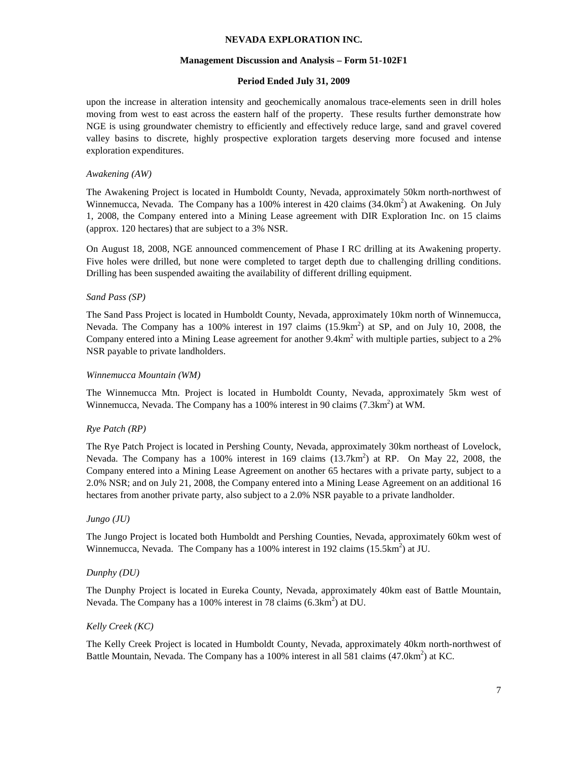## **Management Discussion and Analysis – Form 51-102F1**

# **Period Ended July 31, 2009**

upon the increase in alteration intensity and geochemically anomalous trace-elements seen in drill holes moving from west to east across the eastern half of the property. These results further demonstrate how NGE is using groundwater chemistry to efficiently and effectively reduce large, sand and gravel covered valley basins to discrete, highly prospective exploration targets deserving more focused and intense exploration expenditures.

# *Awakening (AW)*

The Awakening Project is located in Humboldt County, Nevada, approximately 50km north-northwest of Winnemucca, Nevada. The Company has a 100% interest in 420 claims  $(34.0 \text{km}^2)$  at Awakening. On July 1, 2008, the Company entered into a Mining Lease agreement with DIR Exploration Inc. on 15 claims (approx. 120 hectares) that are subject to a 3% NSR.

On August 18, 2008, NGE announced commencement of Phase I RC drilling at its Awakening property. Five holes were drilled, but none were completed to target depth due to challenging drilling conditions. Drilling has been suspended awaiting the availability of different drilling equipment.

# *Sand Pass (SP)*

The Sand Pass Project is located in Humboldt County, Nevada, approximately 10km north of Winnemucca, Nevada. The Company has a 100% interest in 197 claims  $(15.9 \text{km}^2)$  at SP, and on July 10, 2008, the Company entered into a Mining Lease agreement for another  $9.4 \text{km}^2$  with multiple parties, subject to a 2% NSR payable to private landholders.

## *Winnemucca Mountain (WM)*

The Winnemucca Mtn. Project is located in Humboldt County, Nevada, approximately 5km west of Winnemucca, Nevada. The Company has a 100% interest in 90 claims  $(7.3 \text{km}^2)$  at WM.

## *Rye Patch (RP)*

The Rye Patch Project is located in Pershing County, Nevada, approximately 30km northeast of Lovelock, Nevada. The Company has a 100% interest in 169 claims  $(13.7 \text{km}^2)$  at RP. On May 22, 2008, the Company entered into a Mining Lease Agreement on another 65 hectares with a private party, subject to a 2.0% NSR; and on July 21, 2008, the Company entered into a Mining Lease Agreement on an additional 16 hectares from another private party, also subject to a 2.0% NSR payable to a private landholder.

## *Jungo (JU)*

The Jungo Project is located both Humboldt and Pershing Counties, Nevada, approximately 60km west of Winnemucca, Nevada. The Company has a 100% interest in 192 claims  $(15.5 \text{km}^2)$  at JU.

## *Dunphy (DU)*

The Dunphy Project is located in Eureka County, Nevada, approximately 40km east of Battle Mountain, Nevada. The Company has a 100% interest in 78 claims  $(6.3 \text{km}^2)$  at DU.

## *Kelly Creek (KC)*

The Kelly Creek Project is located in Humboldt County, Nevada, approximately 40km north-northwest of Battle Mountain, Nevada. The Company has a 100% interest in all 581 claims  $(47.0 \text{km}^2)$  at KC.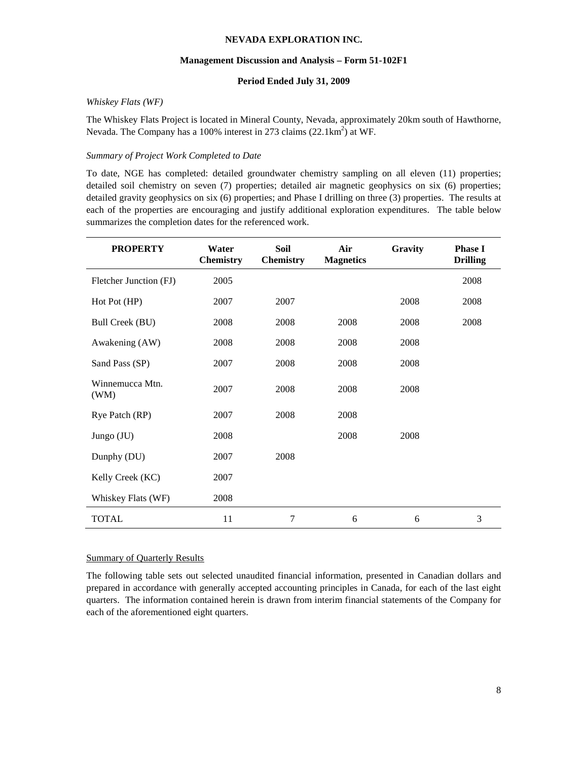## **Management Discussion and Analysis – Form 51-102F1**

# **Period Ended July 31, 2009**

## *Whiskey Flats (WF)*

The Whiskey Flats Project is located in Mineral County, Nevada, approximately 20km south of Hawthorne, Nevada. The Company has a 100% interest in 273 claims  $(22.1 \text{km}^2)$  at WF.

# *Summary of Project Work Completed to Date*

To date, NGE has completed: detailed groundwater chemistry sampling on all eleven (11) properties; detailed soil chemistry on seven (7) properties; detailed air magnetic geophysics on six (6) properties; detailed gravity geophysics on six (6) properties; and Phase I drilling on three (3) properties. The results at each of the properties are encouraging and justify additional exploration expenditures. The table below summarizes the completion dates for the referenced work.

| <b>PROPERTY</b>         | Water<br><b>Chemistry</b> | <b>Soil</b><br><b>Chemistry</b> | Air<br><b>Magnetics</b> | Gravity | <b>Phase I</b><br><b>Drilling</b> |
|-------------------------|---------------------------|---------------------------------|-------------------------|---------|-----------------------------------|
| Fletcher Junction (FJ)  | 2005                      |                                 |                         |         | 2008                              |
| Hot Pot (HP)            | 2007                      | 2007                            |                         | 2008    | 2008                              |
| Bull Creek (BU)         | 2008                      | 2008                            | 2008                    | 2008    | 2008                              |
| Awakening (AW)          | 2008                      | 2008                            | 2008                    | 2008    |                                   |
| Sand Pass (SP)          | 2007                      | 2008                            | 2008                    | 2008    |                                   |
| Winnemucca Mtn.<br>(WM) | 2007                      | 2008                            | 2008                    | 2008    |                                   |
| Rye Patch (RP)          | 2007                      | 2008                            | 2008                    |         |                                   |
| Jungo $(JU)$            | 2008                      |                                 | 2008                    | 2008    |                                   |
| Dunphy (DU)             | 2007                      | 2008                            |                         |         |                                   |
| Kelly Creek (KC)        | 2007                      |                                 |                         |         |                                   |
| Whiskey Flats (WF)      | 2008                      |                                 |                         |         |                                   |
| <b>TOTAL</b>            | 11                        | $\overline{7}$                  | 6                       | 6       | 3                                 |

## Summary of Quarterly Results

The following table sets out selected unaudited financial information, presented in Canadian dollars and prepared in accordance with generally accepted accounting principles in Canada, for each of the last eight quarters. The information contained herein is drawn from interim financial statements of the Company for each of the aforementioned eight quarters.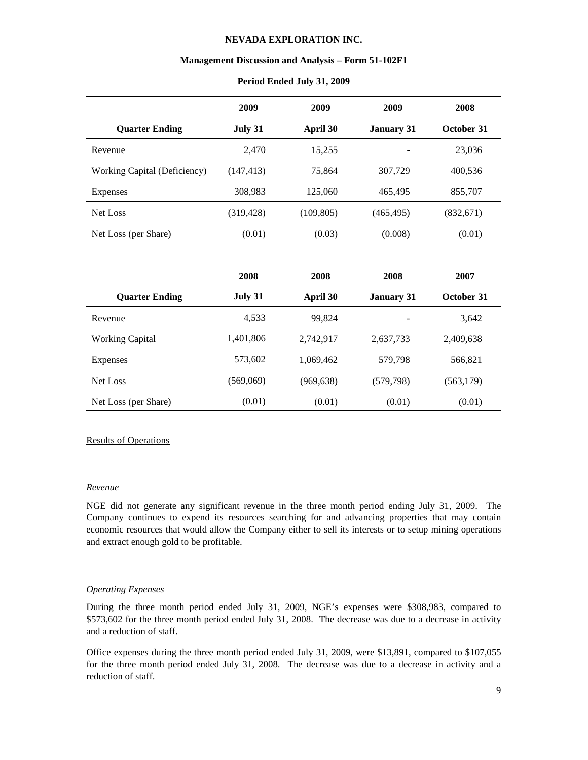#### **Management Discussion and Analysis – Form 51-102F1**

|                              | 2009       | 2009       | 2009              | 2008       |
|------------------------------|------------|------------|-------------------|------------|
| <b>Quarter Ending</b>        | July 31    | April 30   | <b>January 31</b> | October 31 |
| Revenue                      | 2,470      | 15,255     |                   | 23,036     |
| Working Capital (Deficiency) | (147, 413) | 75.864     | 307.729           | 400,536    |
| <b>Expenses</b>              | 308.983    | 125,060    | 465,495           | 855,707    |
| Net Loss                     | (319, 428) | (109, 805) | (465, 495)        | (832,671)  |
| Net Loss (per Share)         | (0.01)     | (0.03)     | (0.008)           | (0.01)     |

## **Period Ended July 31, 2009**

|                        | 2008      | 2008      | 2008              | 2007       |
|------------------------|-----------|-----------|-------------------|------------|
| <b>Quarter Ending</b>  | July 31   | April 30  | <b>January 31</b> | October 31 |
| Revenue                | 4,533     | 99.824    |                   | 3,642      |
| <b>Working Capital</b> | 1,401,806 | 2,742,917 | 2,637,733         | 2,409,638  |
| <b>Expenses</b>        | 573,602   | 1,069,462 | 579,798           | 566,821    |
| Net Loss               | (569,069) | (969,638) | (579,798)         | (563, 179) |
| Net Loss (per Share)   | (0.01)    | (0.01)    | (0.01)            | (0.01)     |

### Results of Operations

#### *Revenue*

NGE did not generate any significant revenue in the three month period ending July 31, 2009. The Company continues to expend its resources searching for and advancing properties that may contain economic resources that would allow the Company either to sell its interests or to setup mining operations and extract enough gold to be profitable.

#### *Operating Expenses*

During the three month period ended July 31, 2009, NGE's expenses were \$308,983, compared to \$573,602 for the three month period ended July 31, 2008. The decrease was due to a decrease in activity and a reduction of staff.

Office expenses during the three month period ended July 31, 2009, were \$13,891, compared to \$107,055 for the three month period ended July 31, 2008. The decrease was due to a decrease in activity and a reduction of staff.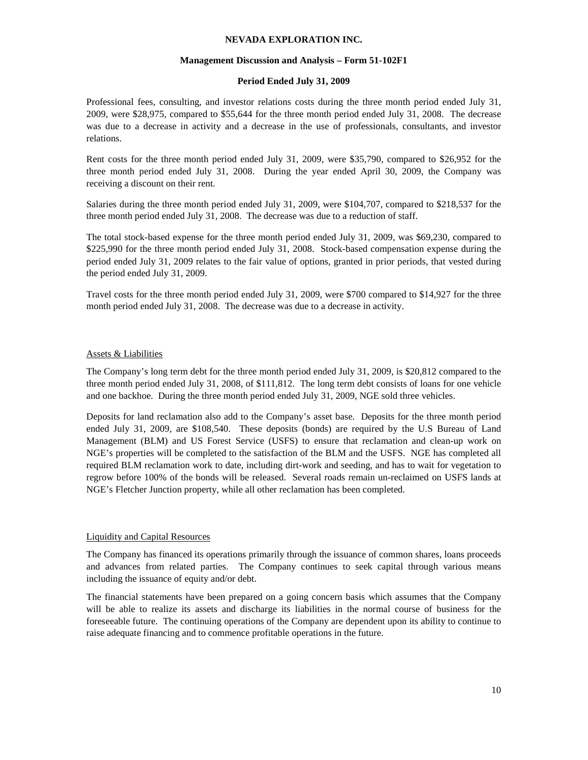## **Management Discussion and Analysis – Form 51-102F1**

# **Period Ended July 31, 2009**

Professional fees, consulting, and investor relations costs during the three month period ended July 31, 2009, were \$28,975, compared to \$55,644 for the three month period ended July 31, 2008. The decrease was due to a decrease in activity and a decrease in the use of professionals, consultants, and investor relations.

Rent costs for the three month period ended July 31, 2009, were \$35,790, compared to \$26,952 for the three month period ended July 31, 2008. During the year ended April 30, 2009, the Company was receiving a discount on their rent.

Salaries during the three month period ended July 31, 2009, were \$104,707, compared to \$218,537 for the three month period ended July 31, 2008. The decrease was due to a reduction of staff.

The total stock-based expense for the three month period ended July 31, 2009, was \$69,230, compared to \$225,990 for the three month period ended July 31, 2008. Stock-based compensation expense during the period ended July 31, 2009 relates to the fair value of options, granted in prior periods, that vested during the period ended July 31, 2009.

Travel costs for the three month period ended July 31, 2009, were \$700 compared to \$14,927 for the three month period ended July 31, 2008. The decrease was due to a decrease in activity.

# Assets & Liabilities

The Company's long term debt for the three month period ended July 31, 2009, is \$20,812 compared to the three month period ended July 31, 2008, of \$111,812. The long term debt consists of loans for one vehicle and one backhoe. During the three month period ended July 31, 2009, NGE sold three vehicles.

Deposits for land reclamation also add to the Company's asset base. Deposits for the three month period ended July 31, 2009, are \$108,540. These deposits (bonds) are required by the U.S Bureau of Land Management (BLM) and US Forest Service (USFS) to ensure that reclamation and clean-up work on NGE's properties will be completed to the satisfaction of the BLM and the USFS. NGE has completed all required BLM reclamation work to date, including dirt-work and seeding, and has to wait for vegetation to regrow before 100% of the bonds will be released. Several roads remain un-reclaimed on USFS lands at NGE's Fletcher Junction property, while all other reclamation has been completed.

## Liquidity and Capital Resources

The Company has financed its operations primarily through the issuance of common shares, loans proceeds and advances from related parties. The Company continues to seek capital through various means including the issuance of equity and/or debt.

The financial statements have been prepared on a going concern basis which assumes that the Company will be able to realize its assets and discharge its liabilities in the normal course of business for the foreseeable future. The continuing operations of the Company are dependent upon its ability to continue to raise adequate financing and to commence profitable operations in the future.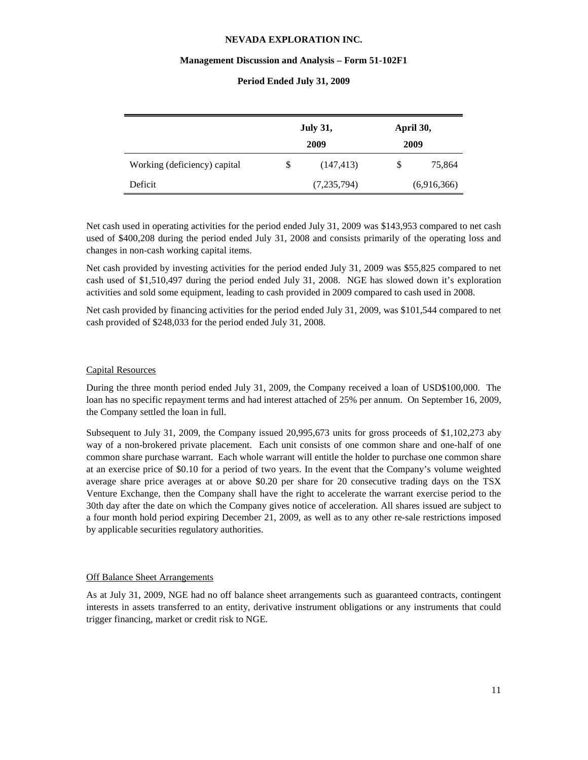#### **Management Discussion and Analysis – Form 51-102F1**

|                              | <b>July 31,</b><br>2009 | April 30,<br>2009 |             |
|------------------------------|-------------------------|-------------------|-------------|
| Working (deficiency) capital | \$<br>(147, 413)        | \$                | 75,864      |
| Deficit                      | (7,235,794)             |                   | (6,916,366) |

## **Period Ended July 31, 2009**

Net cash used in operating activities for the period ended July 31, 2009 was \$143,953 compared to net cash used of \$400,208 during the period ended July 31, 2008 and consists primarily of the operating loss and changes in non-cash working capital items.

Net cash provided by investing activities for the period ended July 31, 2009 was \$55,825 compared to net cash used of \$1,510,497 during the period ended July 31, 2008. NGE has slowed down it's exploration activities and sold some equipment, leading to cash provided in 2009 compared to cash used in 2008.

Net cash provided by financing activities for the period ended July 31, 2009, was \$101,544 compared to net cash provided of \$248,033 for the period ended July 31, 2008.

## Capital Resources

During the three month period ended July 31, 2009, the Company received a loan of USD\$100,000. The loan has no specific repayment terms and had interest attached of 25% per annum. On September 16, 2009, the Company settled the loan in full.

Subsequent to July 31, 2009, the Company issued 20,995,673 units for gross proceeds of \$1,102,273 aby way of a non-brokered private placement. Each unit consists of one common share and one-half of one common share purchase warrant. Each whole warrant will entitle the holder to purchase one common share at an exercise price of \$0.10 for a period of two years. In the event that the Company's volume weighted average share price averages at or above \$0.20 per share for 20 consecutive trading days on the TSX Venture Exchange, then the Company shall have the right to accelerate the warrant exercise period to the 30th day after the date on which the Company gives notice of acceleration. All shares issued are subject to a four month hold period expiring December 21, 2009, as well as to any other re-sale restrictions imposed by applicable securities regulatory authorities.

#### Off Balance Sheet Arrangements

As at July 31, 2009, NGE had no off balance sheet arrangements such as guaranteed contracts, contingent interests in assets transferred to an entity, derivative instrument obligations or any instruments that could trigger financing, market or credit risk to NGE.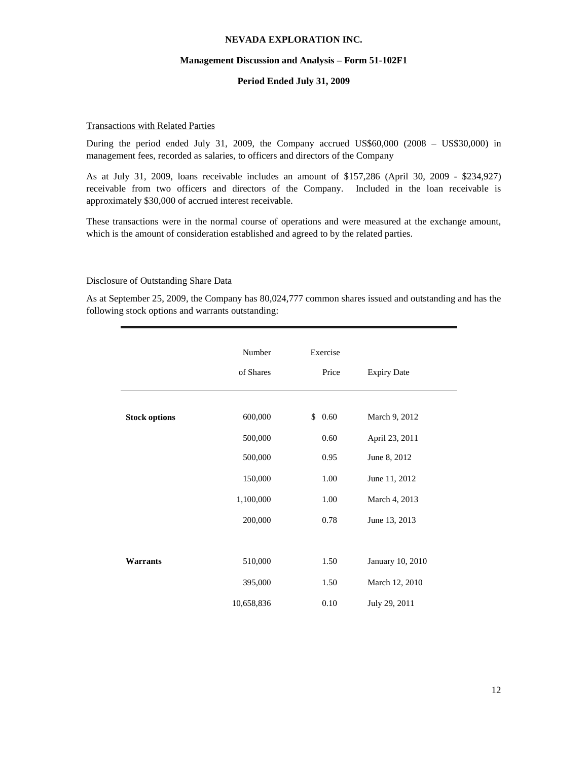#### **Management Discussion and Analysis – Form 51-102F1**

## **Period Ended July 31, 2009**

## Transactions with Related Parties

During the period ended July 31, 2009, the Company accrued US\$60,000 (2008 – US\$30,000) in management fees, recorded as salaries, to officers and directors of the Company

As at July 31, 2009, loans receivable includes an amount of \$157,286 (April 30, 2009 - \$234,927) receivable from two officers and directors of the Company. Included in the loan receivable is approximately \$30,000 of accrued interest receivable.

These transactions were in the normal course of operations and were measured at the exchange amount, which is the amount of consideration established and agreed to by the related parties.

#### Disclosure of Outstanding Share Data

As at September 25, 2009, the Company has 80,024,777 common shares issued and outstanding and has the following stock options and warrants outstanding:

|                      | Number<br>of Shares   | Exercise<br>Price | <b>Expiry Date</b>              |
|----------------------|-----------------------|-------------------|---------------------------------|
| <b>Stock options</b> | 600,000               | \$0.60            | March 9, 2012                   |
|                      | 500,000<br>500,000    | 0.60<br>0.95      | April 23, 2011<br>June 8, 2012  |
|                      | 150,000<br>1,100,000  | 1.00<br>1.00      | June 11, 2012<br>March 4, 2013  |
|                      | 200,000               | 0.78              | June 13, 2013                   |
| <b>Warrants</b>      | 510,000               | 1.50              | January 10, 2010                |
|                      | 395,000<br>10,658,836 | 1.50<br>$0.10\,$  | March 12, 2010<br>July 29, 2011 |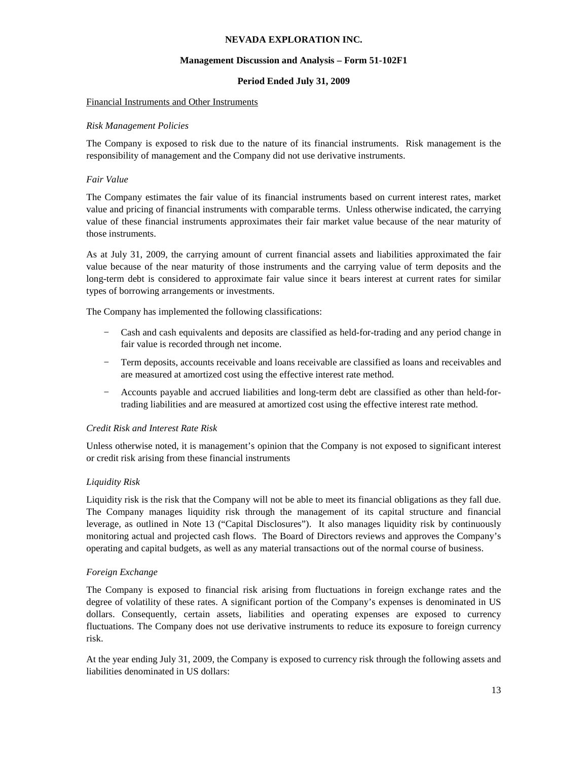## **Management Discussion and Analysis – Form 51-102F1**

# **Period Ended July 31, 2009**

## Financial Instruments and Other Instruments

## *Risk Management Policies*

The Company is exposed to risk due to the nature of its financial instruments. Risk management is the responsibility of management and the Company did not use derivative instruments.

# *Fair Value*

The Company estimates the fair value of its financial instruments based on current interest rates, market value and pricing of financial instruments with comparable terms. Unless otherwise indicated, the carrying value of these financial instruments approximates their fair market value because of the near maturity of those instruments.

As at July 31, 2009, the carrying amount of current financial assets and liabilities approximated the fair value because of the near maturity of those instruments and the carrying value of term deposits and the long-term debt is considered to approximate fair value since it bears interest at current rates for similar types of borrowing arrangements or investments.

The Company has implemented the following classifications:

- − Cash and cash equivalents and deposits are classified as held-for-trading and any period change in fair value is recorded through net income.
- − Term deposits, accounts receivable and loans receivable are classified as loans and receivables and are measured at amortized cost using the effective interest rate method.
- − Accounts payable and accrued liabilities and long-term debt are classified as other than held-fortrading liabilities and are measured at amortized cost using the effective interest rate method.

# *Credit Risk and Interest Rate Risk*

Unless otherwise noted, it is management's opinion that the Company is not exposed to significant interest or credit risk arising from these financial instruments

# *Liquidity Risk*

Liquidity risk is the risk that the Company will not be able to meet its financial obligations as they fall due. The Company manages liquidity risk through the management of its capital structure and financial leverage, as outlined in Note 13 ("Capital Disclosures"). It also manages liquidity risk by continuously monitoring actual and projected cash flows. The Board of Directors reviews and approves the Company's operating and capital budgets, as well as any material transactions out of the normal course of business.

# *Foreign Exchange*

The Company is exposed to financial risk arising from fluctuations in foreign exchange rates and the degree of volatility of these rates. A significant portion of the Company's expenses is denominated in US dollars. Consequently, certain assets, liabilities and operating expenses are exposed to currency fluctuations. The Company does not use derivative instruments to reduce its exposure to foreign currency risk.

At the year ending July 31, 2009, the Company is exposed to currency risk through the following assets and liabilities denominated in US dollars: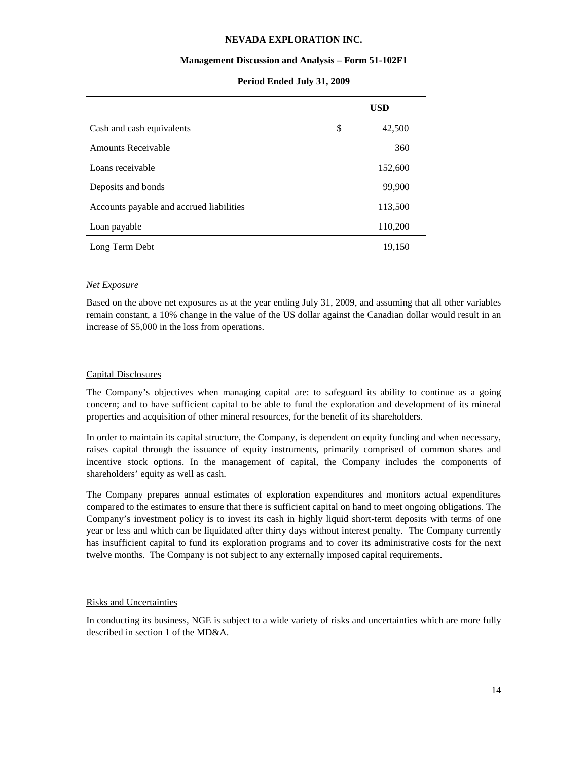## **Management Discussion and Analysis – Form 51-102F1**

|                                          | <b>USD</b>   |  |
|------------------------------------------|--------------|--|
| Cash and cash equivalents                | \$<br>42,500 |  |
| <b>Amounts Receivable</b>                | 360          |  |
| Loans receivable                         | 152,600      |  |
| Deposits and bonds                       | 99,900       |  |
| Accounts payable and accrued liabilities | 113,500      |  |
| Loan payable                             | 110,200      |  |
| Long Term Debt                           | 19,150       |  |

# **Period Ended July 31, 2009**

# *Net Exposure*

Based on the above net exposures as at the year ending July 31, 2009, and assuming that all other variables remain constant, a 10% change in the value of the US dollar against the Canadian dollar would result in an increase of \$5,000 in the loss from operations.

# Capital Disclosures

The Company's objectives when managing capital are: to safeguard its ability to continue as a going concern; and to have sufficient capital to be able to fund the exploration and development of its mineral properties and acquisition of other mineral resources, for the benefit of its shareholders.

In order to maintain its capital structure, the Company, is dependent on equity funding and when necessary, raises capital through the issuance of equity instruments, primarily comprised of common shares and incentive stock options. In the management of capital, the Company includes the components of shareholders' equity as well as cash.

The Company prepares annual estimates of exploration expenditures and monitors actual expenditures compared to the estimates to ensure that there is sufficient capital on hand to meet ongoing obligations. The Company's investment policy is to invest its cash in highly liquid short-term deposits with terms of one year or less and which can be liquidated after thirty days without interest penalty. The Company currently has insufficient capital to fund its exploration programs and to cover its administrative costs for the next twelve months. The Company is not subject to any externally imposed capital requirements.

# Risks and Uncertainties

In conducting its business, NGE is subject to a wide variety of risks and uncertainties which are more fully described in section 1 of the MD&A.